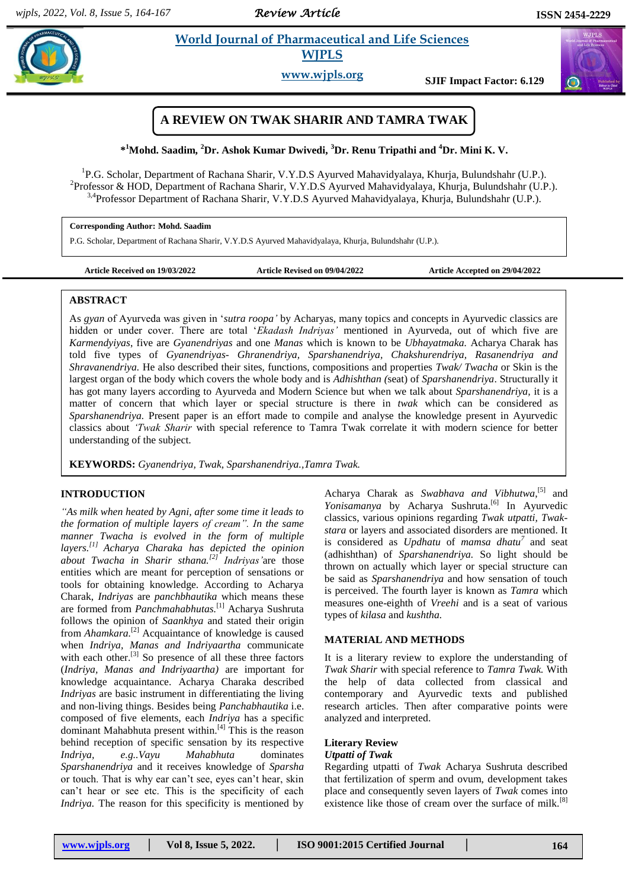*Review Article* 

# **Example 3 A.1 <b>Example 3 A.1 Straight Example 2 A.1 Straight Science Science A.1 Straight A.1 Straight A.1 Straight A.1 Straight A.1 Straight A.1 Straight A.1 Straight A.1 Straight A.1 Straight A.1 Straight A.1 Straight WJPLS**

**www.wjpls.org SJIF Impact Factor: 6.129**

# **A REVIEW ON TWAK SHARIR AND TAMRA TWAK**

**\* <sup>1</sup>Mohd. Saadim, <sup>2</sup>Dr. Ashok Kumar Dwivedi, <sup>3</sup>Dr. Renu Tripathi and <sup>4</sup>Dr. Mini K. V.**

<sup>1</sup>P.G. Scholar, Department of Rachana Sharir, V.Y.D.S Ayurved Mahavidyalaya, Khurja, Bulundshahr (U.P.). <sup>2</sup>Professor & HOD, Department of Rachana Sharir, V.Y.D.S Ayurved Mahavidyalaya, Khurja, Bulundshahr (U.P.). <sup>3,4</sup>Professor Department of Rachana Sharir, V.Y.D.S Ayurved Mahavidyalaya, Khurja, Bulundshahr (U.P.).

**Corresponding Author: Mohd. Saadim**

P.G. Scholar, Department of Rachana Sharir, V.Y.D.S Ayurved Mahavidyalaya, Khurja, Bulundshahr (U.P.).

**Article Received on 19/03/2022 Article Revised on 09/04/2022 Article Accepted on 29/04/2022**

## **ABSTRACT**

As *gyan* of Ayurveda was given in "*sutra roopa"* by Acharyas, many topics and concepts in Ayurvedic classics are hidden or under cover. There are total "*Ekadash Indriyas"* mentioned in Ayurveda, out of which five are *Karmendyiyas*, five are *Gyanendriyas* and one *Manas* which is known to be *Ubhayatmaka.* Acharya Charak has told five types of *Gyanendriyas- Ghranendriya, Sparshanendriya, Chakshurendriya, Rasanendriya and Shravanendriya.* He also described their sites, functions, compositions and properties *Twak/ Twacha* or Skin is the largest organ of the body which covers the whole body and is *Adhishthan (*seat) of *Sparshanendriya*. Structurally it has got many layers according to Ayurveda and Modern Science but when we talk about *Sparshanendriya,* it is a matter of concern that which layer or special structure is there in *twak* which can be considered as *Sparshanendriya.* Present paper is an effort made to compile and analyse the knowledge present in Ayurvedic classics about *"Twak Sharir* with special reference to Tamra Twak correlate it with modern science for better understanding of the subject.

**KEYWORDS:** *Gyanendriya, Twak, Sparshanendriya.,Tamra Twak.*

## **INTRODUCTION**

*"As milk when heated by Agni, after some time it leads to the formation of multiple layers of cream". In the same manner Twacha is evolved in the form of multiple layers. [1] Acharya Charaka has depicted the opinion about Twacha in Sharir sthana.[2] Indriyas"*are those entities which are meant for perception of sensations or tools for obtaining knowledge. According to Acharya Charak, *Indriyas* are *panchbhautika* which means these are formed from *Panchmahabhutas.*[1] Acharya Sushruta follows the opinion of *Saankhya* and stated their origin from *Ahamkara*.<sup>[2]</sup> Acquaintance of knowledge is caused when *Indriya, Manas and Indriyaartha* communicate with each other.<sup>[3]</sup> So presence of all these three factors (*Indriya, Manas and Indriyaartha)* are important for knowledge acquaintance. Acharya Charaka described *Indriyas* are basic instrument in differentiating the living and non-living things. Besides being *Panchabhautika* i.e. composed of five elements, each *Indriya* has a specific dominant Mahabhuta present within.<sup>[4]</sup> This is the reason behind reception of specific sensation by its respective *Indriya, e.g..Vayu Mahabhuta* dominates *Sparshanendriya* and it receives knowledge of *Sparsha* or touch. That is why ear can"t see, eyes can"t hear, skin can"t hear or see etc. This is the specificity of each *Indriya.* The reason for this specificity is mentioned by Acharya Charak as *Swabhava and Vibhutwa*,<sup>[5]</sup> and Yonisamanya by Acharya Sushruta.<sup>[6]</sup> In Ayurvedic classics, various opinions regarding *Twak utpatti, Twakstara* or layers and associated disorders are mentioned. It is considered as *Updhatu* of *mamsa dhatu<sup>7</sup>* and seat (adhishthan) of *Sparshanendriya.* So light should be thrown on actually which layer or special structure can be said as *Sparshanendriya* and how sensation of touch is perceived. The fourth layer is known as *Tamra* which measures one-eighth of *Vreehi* and is a seat of various types of *kilasa* and *kushtha.*

## **MATERIAL AND METHODS**

It is a literary review to explore the understanding of *Twak Sharir* with special reference to *Tamra Twak.* With the help of data collected from classical and contemporary and Ayurvedic texts and published research articles. Then after comparative points were analyzed and interpreted.

#### **Literary Review** *Utpatti of Twak*

Regarding utpatti of *Twak* Acharya Sushruta described that fertilization of sperm and ovum, development takes place and consequently seven layers of *Twak* comes into existence like those of cream over the surface of milk.<sup>[8]</sup>

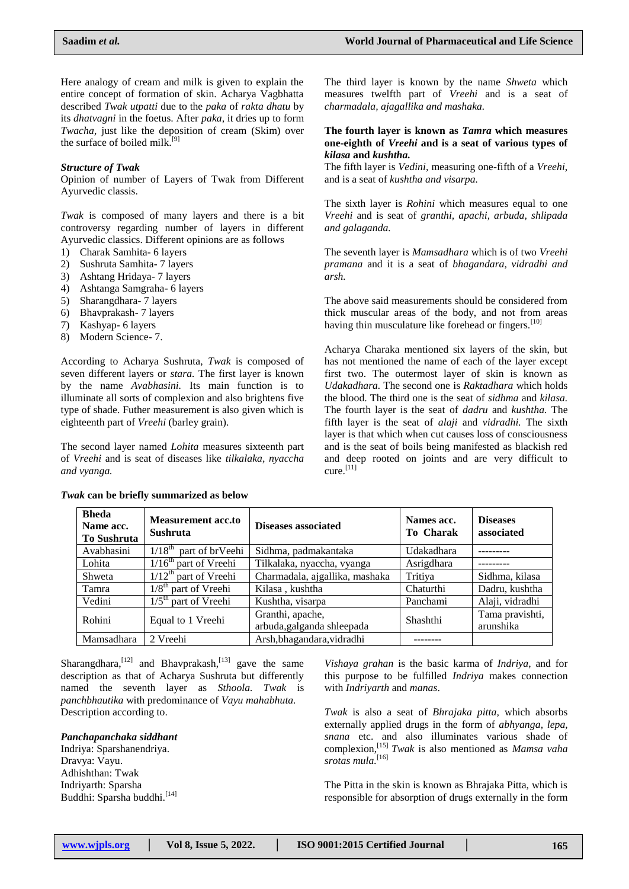Here analogy of cream and milk is given to explain the entire concept of formation of skin. Acharya Vagbhatta described *Twak utpatti* due to the *paka* of *rakta dhatu* by its *dhatvagni* in the foetus. After *paka*, it dries up to form *Twacha,* just like the deposition of cream (Skim) over the surface of boiled milk.<sup>[9]</sup>

## *Structure of Twak*

Opinion of number of Layers of Twak from Different Ayurvedic classis.

*Twak* is composed of many layers and there is a bit controversy regarding number of layers in different Ayurvedic classics. Different opinions are as follows

- 1) Charak Samhita- 6 layers
- 2) Sushruta Samhita- 7 layers
- 3) Ashtang Hridaya- 7 layers
- 4) Ashtanga Samgraha- 6 layers
- 5) Sharangdhara- 7 layers
- 6) Bhavprakash- 7 layers
- 7) Kashyap- 6 layers
- 8) Modern Science- 7.

According to Acharya Sushruta, *Twak* is composed of seven different layers or *stara.* The first layer is known by the name *Avabhasini.* Its main function is to illuminate all sorts of complexion and also brightens five type of shade. Futher measurement is also given which is eighteenth part of *Vreehi* (barley grain).

The second layer named *Lohita* measures sixteenth part of *Vreehi* and is seat of diseases like *tilkalaka, nyaccha and vyanga.*

The third layer is known by the name *Shweta* which measures twelfth part of *Vreehi* and is a seat of *charmadala, ajagallika and mashaka.*

#### **The fourth layer is known as** *Tamra* **which measures one-eighth of** *Vreehi* **and is a seat of various types of**  *kilasa* **and** *kushtha.*

The fifth layer is *Vedini,* measuring one-fifth of a *Vreehi*, and is a seat of *kushtha and visarpa.*

The sixth layer is *Rohini* which measures equal to one *Vreehi* and is seat of *granthi, apachi, arbuda, shlipada and galaganda.*

The seventh layer is *Mamsadhara* which is of two *Vreehi pramana* and it is a seat of *bhagandara, vidradhi and arsh.*

The above said measurements should be considered from thick muscular areas of the body, and not from areas having thin musculature like forehead or fingers.<sup>[10]</sup>

Acharya Charaka mentioned six layers of the skin, but has not mentioned the name of each of the layer except first two. The outermost layer of skin is known as *Udakadhara.* The second one is *Raktadhara* which holds the blood. The third one is the seat of *sidhma* and *kilasa.* The fourth layer is the seat of *dadru* and *kushtha.* The fifth layer is the seat of *alaji* and *vidradhi.* The sixth layer is that which when cut causes loss of consciousness and is the seat of boils being manifested as blackish red and deep rooted on joints and are very difficult to cure.<sup>[11]</sup>

| <b>Bheda</b><br>Name acc.<br><b>To Sushruta</b> | <b>Measurement acc.to</b><br><b>Sushruta</b> | Diseases associated                            | Names acc.<br>To Charak | <b>Diseases</b><br>associated |
|-------------------------------------------------|----------------------------------------------|------------------------------------------------|-------------------------|-------------------------------|
| Avabhasini                                      | $1/18^{th}$<br>part of brVeehi               | Sidhma, padmakantaka                           | Udakadhara              |                               |
| Lohita                                          | $1/16th$ part of Vreehi                      | Tilkalaka, nyaccha, vyanga                     | Asrigdhara              |                               |
| Shweta                                          | $1/12^{th}$ part of Vreehi                   | Charmadala, ajgallika, mashaka                 | Tritiya                 | Sidhma, kilasa                |
| Tamra                                           | $1/8th$ part of Vreehi                       | Kilasa, kushtha                                | Chaturthi               | Dadru, kushtha                |
| Vedini                                          | $1/5th$ part of Vreehi                       | Kushtha, visarpa                               | Panchami                | Alaji, vidradhi               |
| Rohini                                          | Equal to 1 Vreehi                            | Granthi, apache,<br>arbuda, galganda shleepada | Shashthi                | Tama pravishti,<br>arunshika  |
| Mamsadhara                                      | 2 Vreehi                                     | Arsh, bhagandara, vidradhi                     |                         |                               |

#### *Twak* **can be briefly summarized as below**

Sharangdhara,  $\left[12\right]$  and Bhavprakash,  $\left[13\right]$  gave the same description as that of Acharya Sushruta but differently named the seventh layer as *Sthoola. Twak* is *panchbhautika* with predominance of *Vayu mahabhuta.* Description according to.

#### *Panchapanchaka siddhant*

Indriya: Sparshanendriya. Dravya: Vayu. Adhishthan: Twak Indriyarth: Sparsha Buddhi: Sparsha buddhi.<sup>[14]</sup> *Vishaya grahan* is the basic karma of *Indriya*, and for this purpose to be fulfilled *Indriya* makes connection with *Indriyarth* and *manas*.

*Twak* is also a seat of *Bhrajaka pitta,* which absorbs externally applied drugs in the form of *abhyanga, lepa, snana* etc. and also illuminates various shade of complexion, [15] *Twak* is also mentioned as *Mamsa vaha srotas mula.*[16]

The Pitta in the skin is known as Bhrajaka Pitta, which is responsible for absorption of drugs externally in the form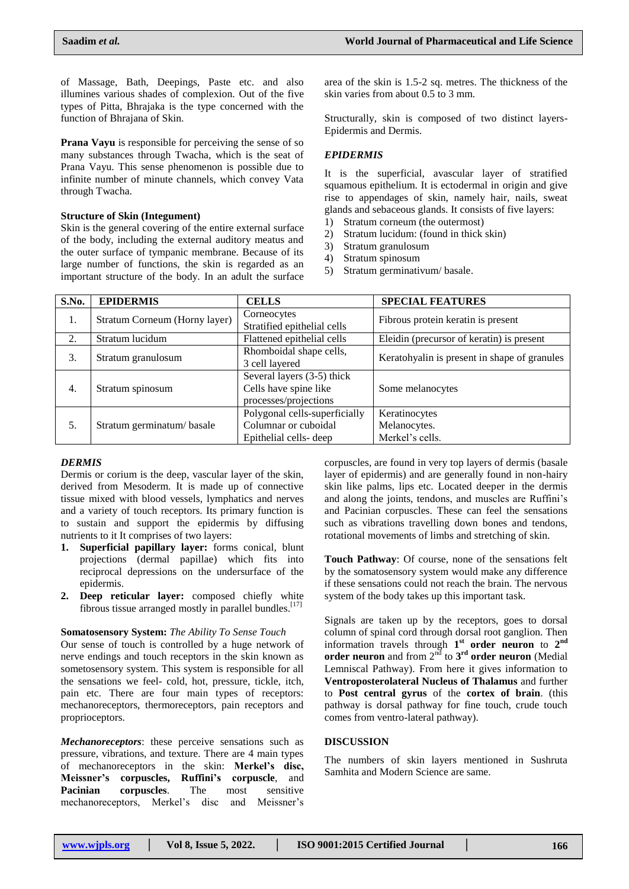of Massage, Bath, Deepings, Paste etc. and also illumines various shades of complexion. Out of the five types of Pitta, Bhrajaka is the type concerned with the function of Bhrajana of Skin.

**Prana Vayu** is responsible for perceiving the sense of so many substances through Twacha, which is the seat of Prana Vayu. This sense phenomenon is possible due to infinite number of minute channels, which convey Vata through Twacha.

### **Structure of Skin (Integument)**

Skin is the general covering of the entire external surface of the body, including the external auditory meatus and the outer surface of tympanic membrane. Because of its large number of functions, the skin is regarded as an important structure of the body. In an adult the surface area of the skin is 1.5-2 sq. metres. The thickness of the skin varies from about 0.5 to 3 mm.

Structurally, skin is composed of two distinct layers-Epidermis and Dermis.

## *EPIDERMIS*

It is the superficial, avascular layer of stratified squamous epithelium. It is ectodermal in origin and give rise to appendages of skin, namely hair, nails, sweat glands and sebaceous glands. It consists of five layers:

- 1) Stratum corneum (the outermost)
- 2) Stratum lucidum: (found in thick skin)
- 3) Stratum granulosum
- 4) Stratum spinosum
- 5) Stratum germinativum/ basale.

| S.No. | <b>EPIDERMIS</b>              | <b>CELLS</b>                                                                   | <b>SPECIAL FEATURES</b>                          |
|-------|-------------------------------|--------------------------------------------------------------------------------|--------------------------------------------------|
| 1.    | Stratum Corneum (Horny layer) | Corneocytes<br>Stratified epithelial cells                                     | Fibrous protein keratin is present               |
| 2.    | Stratum lucidum               | Flattened epithelial cells                                                     | Eleidin (precursor of keratin) is present        |
| 3.    | Stratum granulosum            | Rhomboidal shape cells,<br>3 cell layered                                      | Keratohyalin is present in shape of granules     |
| 4.    | Stratum spinosum              | Several layers (3-5) thick<br>Cells have spine like<br>processes/projections   | Some melanocytes                                 |
| 5.    | Stratum germinatum/basale     | Polygonal cells-superficially<br>Columnar or cuboidal<br>Epithelial cells-deep | Keratinocytes<br>Melanocytes.<br>Merkel's cells. |

## *DERMIS*

Dermis or corium is the deep, vascular layer of the skin, derived from Mesoderm. It is made up of connective tissue mixed with blood vessels, lymphatics and nerves and a variety of touch receptors. Its primary function is to sustain and support the epidermis by diffusing nutrients to it It comprises of two layers:

- **1. Superficial papillary layer:** forms conical, blunt projections (dermal papillae) which fits into reciprocal depressions on the undersurface of the epidermis.
- **2. Deep reticular layer:** composed chiefly white fibrous tissue arranged mostly in parallel bundles.<sup>[17]</sup>

#### **Somatosensory System:** *The Ability To Sense Touch*

Our sense of touch is controlled by a huge network of nerve endings and touch receptors in the skin known as sometosensory system. This system is responsible for all the sensations we feel- cold, hot, pressure, tickle, itch, pain etc. There are four main types of receptors: mechanoreceptors, thermoreceptors, pain receptors and proprioceptors.

*Mechanoreceptors*: these perceive sensations such as pressure, vibrations, and texture. There are 4 main types of mechanoreceptors in the skin: **Merkel's disc, Meissner's corpuscles, Ruffini's corpuscle**, and **Pacinian corpuscles**. The most sensitive mechanoreceptors, Merkel's disc and Meissner's

corpuscles, are found in very top layers of dermis (basale layer of epidermis) and are generally found in non-hairy skin like palms, lips etc. Located deeper in the dermis and along the joints, tendons, and muscles are Ruffini"s and Pacinian corpuscles. These can feel the sensations such as vibrations travelling down bones and tendons, rotational movements of limbs and stretching of skin.

**Touch Pathway**: Of course, none of the sensations felt by the somatosensory system would make any difference if these sensations could not reach the brain. The nervous system of the body takes up this important task.

Signals are taken up by the receptors, goes to dorsal column of spinal cord through dorsal root ganglion. Then information travels through 1<sup>st</sup> order neuron to 2<sup>nd</sup> **order neuron** and from  $2^{nd}$  to  $3^{rd}$  **order neuron** (Medial Lemniscal Pathway). From here it gives information to **Ventroposterolateral Nucleus of Thalamus** and further to **Post central gyrus** of the **cortex of brain**. (this pathway is dorsal pathway for fine touch, crude touch comes from ventro-lateral pathway).

#### **DISCUSSION**

The numbers of skin layers mentioned in Sushruta Samhita and Modern Science are same.